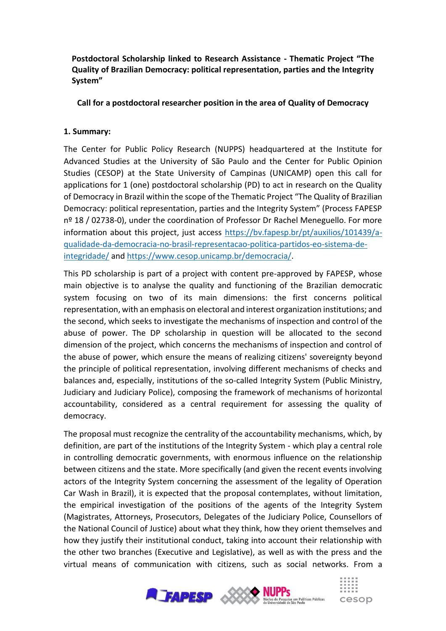**Postdoctoral Scholarship linked to Research Assistance - Thematic Project "The Quality of Brazilian Democracy: political representation, parties and the Integrity System"**

## **Call for a postdoctoral researcher position in the area of Quality of Democracy**

### **1. Summary:**

The Center for Public Policy Research (NUPPS) headquartered at the Institute for Advanced Studies at the University of São Paulo and the Center for Public Opinion Studies (CESOP) at the State University of Campinas (UNICAMP) open this call for applications for 1 (one) postdoctoral scholarship (PD) to act in research on the Quality of Democracy in Brazil within the scope of the Thematic Project "The Quality of Brazilian Democracy: political representation, parties and the Integrity System" (Process FAPESP nº 18 / 02738-0), under the coordination of Professor Dr Rachel Meneguello. For more information about this project, just access [https://bv.fapesp.br/pt/auxilios/101439/a](https://bv.fapesp.br/pt/auxilios/101439/a-qualidade-da-democracia-no-brasil-representacao-politica-partidos-eo-sistema-de-integridade/)[qualidade-da-democracia-no-brasil-representacao-politica-partidos-eo-sistema-de](https://bv.fapesp.br/pt/auxilios/101439/a-qualidade-da-democracia-no-brasil-representacao-politica-partidos-eo-sistema-de-integridade/)[integridade/](https://bv.fapesp.br/pt/auxilios/101439/a-qualidade-da-democracia-no-brasil-representacao-politica-partidos-eo-sistema-de-integridade/) and [https://www.cesop.unicamp.br/democracia/.](https://www.cesop.unicamp.br/democracia/)

This PD scholarship is part of a project with content pre-approved by FAPESP, whose main objective is to analyse the quality and functioning of the Brazilian democratic system focusing on two of its main dimensions: the first concerns political representation, with an emphasis on electoral and interest organization institutions; and the second, which seeks to investigate the mechanisms of inspection and control of the abuse of power. The DP scholarship in question will be allocated to the second dimension of the project, which concerns the mechanisms of inspection and control of the abuse of power, which ensure the means of realizing citizens' sovereignty beyond the principle of political representation, involving different mechanisms of checks and balances and, especially, institutions of the so-called Integrity System (Public Ministry, Judiciary and Judiciary Police), composing the framework of mechanisms of horizontal accountability, considered as a central requirement for assessing the quality of democracy.

The proposal must recognize the centrality of the accountability mechanisms, which, by definition, are part of the institutions of the Integrity System - which play a central role in controlling democratic governments, with enormous influence on the relationship between citizens and the state. More specifically (and given the recent events involving actors of the Integrity System concerning the assessment of the legality of Operation Car Wash in Brazil), it is expected that the proposal contemplates, without limitation, the empirical investigation of the positions of the agents of the Integrity System (Magistrates, Attorneys, Prosecutors, Delegates of the Judiciary Police, Counsellors of the National Council of Justice) about what they think, how they orient themselves and how they justify their institutional conduct, taking into account their relationship with the other two branches (Executive and Legislative), as well as with the press and the virtual means of communication with citizens, such as social networks. From a

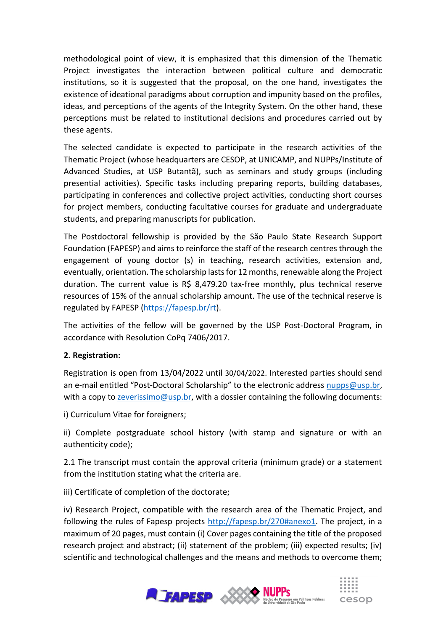methodological point of view, it is emphasized that this dimension of the Thematic Project investigates the interaction between political culture and democratic institutions, so it is suggested that the proposal, on the one hand, investigates the existence of ideational paradigms about corruption and impunity based on the profiles, ideas, and perceptions of the agents of the Integrity System. On the other hand, these perceptions must be related to institutional decisions and procedures carried out by these agents.

The selected candidate is expected to participate in the research activities of the Thematic Project (whose headquarters are CESOP, at UNICAMP, and NUPPs/Institute of Advanced Studies, at USP Butantã), such as seminars and study groups (including presential activities). Specific tasks including preparing reports, building databases, participating in conferences and collective project activities, conducting short courses for project members, conducting facultative courses for graduate and undergraduate students, and preparing manuscripts for publication.

The Postdoctoral fellowship is provided by the São Paulo State Research Support Foundation (FAPESP) and aims to reinforce the staff of the research centres through the engagement of young doctor (s) in teaching, research activities, extension and, eventually, orientation. The scholarship lasts for 12 months, renewable along the Project duration. The current value is R\$ 8,479.20 tax-free monthly, plus technical reserve resources of 15% of the annual scholarship amount. The use of the technical reserve is regulated by FAPESP [\(https://fapesp.br/rt\)](https://fapesp.br/rt).

The activities of the fellow will be governed by the USP Post-Doctoral Program, in accordance with Resolution CoPq 7406/2017.

# **2. Registration:**

Registration is open from 13/04/2022 until 30/04/2022. Interested parties should send an e-mail entitled "Post-Doctoral Scholarship" to the electronic address [nupps@usp.br,](mailto:nupps@usp.br) with a copy to  $z$ everissimo@usp.br, with a dossier containing the following documents:

i) Curriculum Vitae for foreigners;

ii) Complete postgraduate school history (with stamp and signature or with an authenticity code);

2.1 The transcript must contain the approval criteria (minimum grade) or a statement from the institution stating what the criteria are.

iii) Certificate of completion of the doctorate;

iv) Research Project, compatible with the research area of the Thematic Project, and following the rules of Fapesp projects [http://fapesp.br/270#anexo1.](http://fapesp.br/270#anexo1) The project, in a maximum of 20 pages, must contain (i) Cover pages containing the title of the proposed research project and abstract; (ii) statement of the problem; (iii) expected results; (iv) scientific and technological challenges and the means and methods to overcome them;